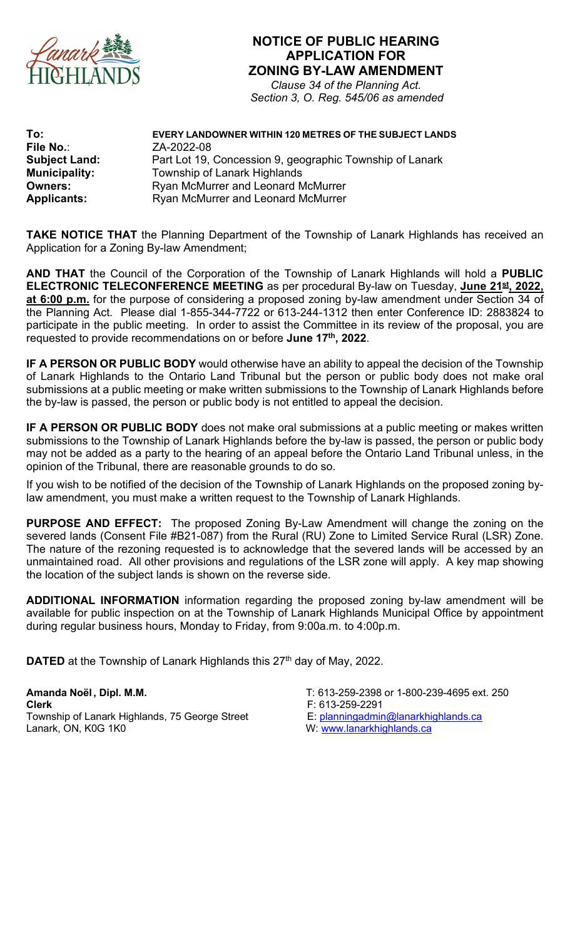

## **NOTICE OF PUBLIC HEARING APPLICATION FOR ZONING BY-LAW AMENDMENT**

*Clause 34 of the Planning Act. Section 3, O. Reg. 545/06 as amended*

| To:                  | EVERY LANDOWNER WITHIN 120 METRES OF THE SUBJECT LANDS   |
|----------------------|----------------------------------------------------------|
| File No.:            | ZA-2022-08                                               |
| <b>Subject Land:</b> | Part Lot 19, Concession 9, geographic Township of Lanark |
| <b>Municipality:</b> | Township of Lanark Highlands                             |
| <b>Owners:</b>       | Ryan McMurrer and Leonard McMurrer                       |
| <b>Applicants:</b>   | <b>Ryan McMurrer and Leonard McMurrer</b>                |

**TAKE NOTICE THAT** the Planning Department of the Township of Lanark Highlands has received an Application for a Zoning By-law Amendment;

**AND THAT** the Council of the Corporation of the Township of Lanark Highlands will hold a **PUBLIC ELECTRONIC TELECONFERENCE MEETING** as per procedural By-law on Tuesday, **June 21st, 2022, at 6:00 p.m.** for the purpose of considering a proposed zoning by-law amendment under Section 34 of the Planning Act. Please dial 1-855-344-7722 or 613-244-1312 then enter Conference ID: 2883824 to participate in the public meeting. In order to assist the Committee in its review of the proposal, you are requested to provide recommendations on or before **June 17th, 2022**.

**IF A PERSON OR PUBLIC BODY** would otherwise have an ability to appeal the decision of the Township of Lanark Highlands to the Ontario Land Tribunal but the person or public body does not make oral submissions at a public meeting or make written submissions to the Township of Lanark Highlands before the by-law is passed, the person or public body is not entitled to appeal the decision.

**IF A PERSON OR PUBLIC BODY** does not make oral submissions at a public meeting or makes written submissions to the Township of Lanark Highlands before the by-law is passed, the person or public body may not be added as a party to the hearing of an appeal before the Ontario Land Tribunal unless, in the opinion of the Tribunal, there are reasonable grounds to do so.

If you wish to be notified of the decision of the Township of Lanark Highlands on the proposed zoning bylaw amendment, you must make a written request to the Township of Lanark Highlands.

**PURPOSE AND EFFECT:** The proposed Zoning By-Law Amendment will change the zoning on the severed lands (Consent File #B21-087) from the Rural (RU) Zone to Limited Service Rural (LSR) Zone. The nature of the rezoning requested is to acknowledge that the severed lands will be accessed by an unmaintained road. All other provisions and regulations of the LSR zone will apply. A key map showing the location of the subject lands is shown on the reverse side.

**ADDITIONAL INFORMATION** information regarding the proposed zoning by-law amendment will be available for public inspection on at the Township of Lanark Highlands Municipal Office by appointment during regular business hours, Monday to Friday, from 9:00a.m. to 4:00p.m.

**DATED** at the Township of Lanark Highlands this 27<sup>th</sup> day of May, 2022.

**Amanda Noël , Dipl. M.M.** T: 613-259-2398 or 1-800-239-4695 ext. 250 **Clerk**<br>Township of Lanark Highlands, 75 George Street F: 613-259-2291<br>E: planningadmin@lanarkhighlands.ca Township of Lanark Highlands, 75 George Street Lanark, ON, K0G 1K0

- 
-